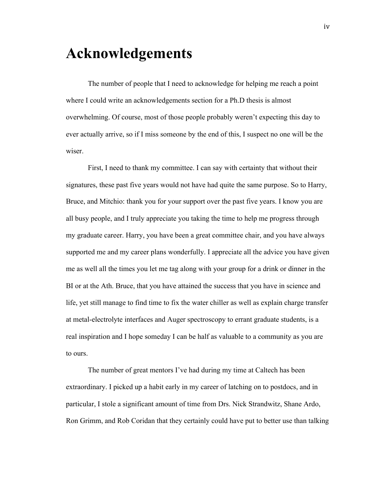## **Acknowledgements**

The number of people that I need to acknowledge for helping me reach a point where I could write an acknowledgements section for a Ph.D thesis is almost overwhelming. Of course, most of those people probably weren't expecting this day to ever actually arrive, so if I miss someone by the end of this, I suspect no one will be the wiser.

First, I need to thank my committee. I can say with certainty that without their signatures, these past five years would not have had quite the same purpose. So to Harry, Bruce, and Mitchio: thank you for your support over the past five years. I know you are all busy people, and I truly appreciate you taking the time to help me progress through my graduate career. Harry, you have been a great committee chair, and you have always supported me and my career plans wonderfully. I appreciate all the advice you have given me as well all the times you let me tag along with your group for a drink or dinner in the BI or at the Ath. Bruce, that you have attained the success that you have in science and life, yet still manage to find time to fix the water chiller as well as explain charge transfer at metal-electrolyte interfaces and Auger spectroscopy to errant graduate students, is a real inspiration and I hope someday I can be half as valuable to a community as you are to ours.

The number of great mentors I've had during my time at Caltech has been extraordinary. I picked up a habit early in my career of latching on to postdocs, and in particular, I stole a significant amount of time from Drs. Nick Strandwitz, Shane Ardo, Ron Grimm, and Rob Coridan that they certainly could have put to better use than talking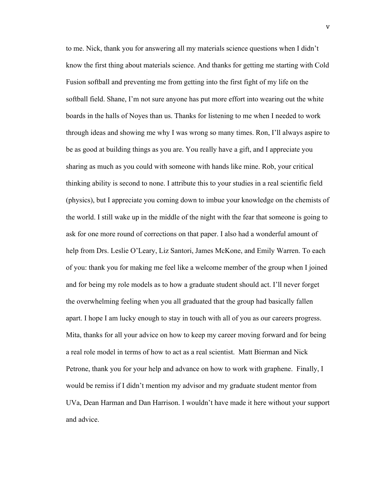to me. Nick, thank you for answering all my materials science questions when I didn't know the first thing about materials science. And thanks for getting me starting with Cold Fusion softball and preventing me from getting into the first fight of my life on the softball field. Shane, I'm not sure anyone has put more effort into wearing out the white boards in the halls of Noyes than us. Thanks for listening to me when I needed to work through ideas and showing me why I was wrong so many times. Ron, I'll always aspire to be as good at building things as you are. You really have a gift, and I appreciate you sharing as much as you could with someone with hands like mine. Rob, your critical thinking ability is second to none. I attribute this to your studies in a real scientific field (physics), but I appreciate you coming down to imbue your knowledge on the chemists of the world. I still wake up in the middle of the night with the fear that someone is going to ask for one more round of corrections on that paper. I also had a wonderful amount of help from Drs. Leslie O'Leary, Liz Santori, James McKone, and Emily Warren. To each of you: thank you for making me feel like a welcome member of the group when I joined and for being my role models as to how a graduate student should act. I'll never forget the overwhelming feeling when you all graduated that the group had basically fallen apart. I hope I am lucky enough to stay in touch with all of you as our careers progress. Mita, thanks for all your advice on how to keep my career moving forward and for being a real role model in terms of how to act as a real scientist. Matt Bierman and Nick Petrone, thank you for your help and advance on how to work with graphene. Finally, I would be remiss if I didn't mention my advisor and my graduate student mentor from UVa, Dean Harman and Dan Harrison. I wouldn't have made it here without your support and advice.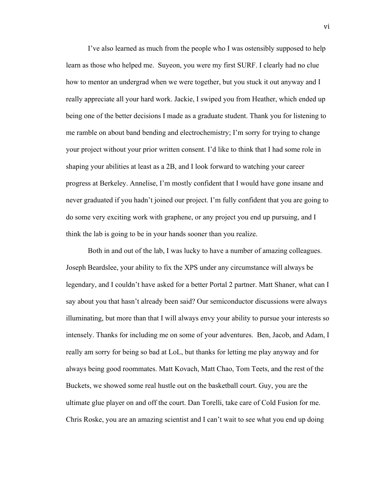I've also learned as much from the people who I was ostensibly supposed to help learn as those who helped me. Suyeon, you were my first SURF. I clearly had no clue how to mentor an undergrad when we were together, but you stuck it out anyway and I really appreciate all your hard work. Jackie, I swiped you from Heather, which ended up being one of the better decisions I made as a graduate student. Thank you for listening to me ramble on about band bending and electrochemistry; I'm sorry for trying to change your project without your prior written consent. I'd like to think that I had some role in shaping your abilities at least as a 2B, and I look forward to watching your career progress at Berkeley. Annelise, I'm mostly confident that I would have gone insane and never graduated if you hadn't joined our project. I'm fully confident that you are going to do some very exciting work with graphene, or any project you end up pursuing, and I think the lab is going to be in your hands sooner than you realize.

Both in and out of the lab, I was lucky to have a number of amazing colleagues. Joseph Beardslee, your ability to fix the XPS under any circumstance will always be legendary, and I couldn't have asked for a better Portal 2 partner. Matt Shaner, what can I say about you that hasn't already been said? Our semiconductor discussions were always illuminating, but more than that I will always envy your ability to pursue your interests so intensely. Thanks for including me on some of your adventures. Ben, Jacob, and Adam, I really am sorry for being so bad at LoL, but thanks for letting me play anyway and for always being good roommates. Matt Kovach, Matt Chao, Tom Teets, and the rest of the Buckets, we showed some real hustle out on the basketball court. Guy, you are the ultimate glue player on and off the court. Dan Torelli, take care of Cold Fusion for me. Chris Roske, you are an amazing scientist and I can't wait to see what you end up doing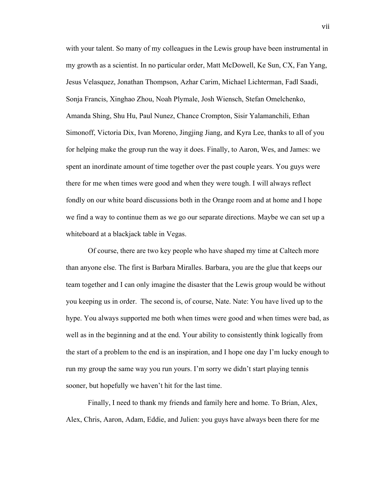with your talent. So many of my colleagues in the Lewis group have been instrumental in my growth as a scientist. In no particular order, Matt McDowell, Ke Sun, CX, Fan Yang, Jesus Velasquez, Jonathan Thompson, Azhar Carim, Michael Lichterman, Fadl Saadi, Sonja Francis, Xinghao Zhou, Noah Plymale, Josh Wiensch, Stefan Omelchenko, Amanda Shing, Shu Hu, Paul Nunez, Chance Crompton, Sisir Yalamanchili, Ethan Simonoff, Victoria Dix, Ivan Moreno, Jingjing Jiang, and Kyra Lee, thanks to all of you for helping make the group run the way it does. Finally, to Aaron, Wes, and James: we spent an inordinate amount of time together over the past couple years. You guys were there for me when times were good and when they were tough. I will always reflect fondly on our white board discussions both in the Orange room and at home and I hope we find a way to continue them as we go our separate directions. Maybe we can set up a whiteboard at a blackjack table in Vegas.

Of course, there are two key people who have shaped my time at Caltech more than anyone else. The first is Barbara Miralles. Barbara, you are the glue that keeps our team together and I can only imagine the disaster that the Lewis group would be without you keeping us in order. The second is, of course, Nate. Nate: You have lived up to the hype. You always supported me both when times were good and when times were bad, as well as in the beginning and at the end. Your ability to consistently think logically from the start of a problem to the end is an inspiration, and I hope one day I'm lucky enough to run my group the same way you run yours. I'm sorry we didn't start playing tennis sooner, but hopefully we haven't hit for the last time.

Finally, I need to thank my friends and family here and home. To Brian, Alex, Alex, Chris, Aaron, Adam, Eddie, and Julien: you guys have always been there for me